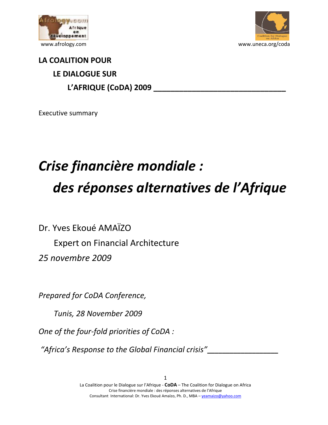



## **LA COALITION POUR LE DIALOGUE SUR L'AFRIQUE (CoDA) 2009 \_\_\_\_\_\_\_\_\_\_\_\_\_\_\_\_\_\_\_\_\_\_\_\_\_\_\_\_\_\_\_**

Executive summary

## *Crise financière mondiale : des réponses alternatives de l'Afrique*

Dr. Yves Ekoué AMAÏZO Expert on Financial Architecture *25 novembre 2009* 

*Prepared for CoDA Conference,* 

 *Tunis, 28 November 2009* 

*One of the four-fold priorities of CoDA :* 

*"Africa's Response to the Global Financial crisis"***\_\_\_\_\_\_\_\_\_\_\_\_\_\_\_\_\_\_\_**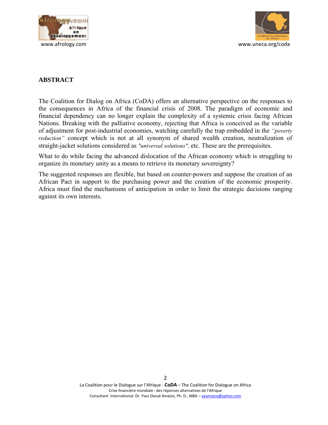



## **ABSTRACT**

The Coalition for Dialog on Africa (CoDA) offers an alternative perspective on the responses to the consequences in Africa of the financial crisis of 2008. The paradigm of economic and financial dependency can no longer explain the complexity of a systemic crisis facing African Nations. Breaking with the palliative economy, rejecting that Africa is conceived as the variable of adjustment for post-industrial economies, watching carefully the trap embedded in the *"poverty reduction"* concept which is not at all synonym of shared wealth creation, neutralization of straight-jacket solutions considered as *"universal solutions",* etc. These are the prerequisites.

What to do while facing the advanced dislocation of the African economy which is struggling to organize its monetary unity as a means to retrieve its monetary sovereignty?

The suggested responses are flexible, but based on counter-powers and suppose the creation of an African Pact in support to the purchasing power and the creation of the economic prosperity. Africa must find the mechanisms of anticipation in order to limit the strategic decisions ranging against its own interests.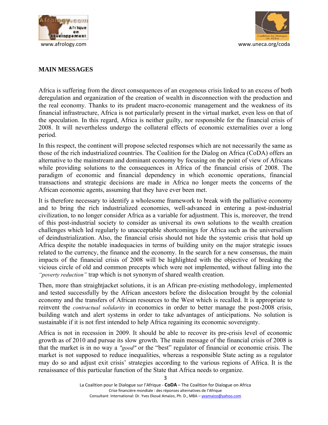



## **MAIN MESSAGES**

Africa is suffering from the direct consequences of an exogenous crisis linked to an excess of both deregulation and organization of the creation of wealth in disconnection with the production and the real economy. Thanks to its prudent macro-economic management and the weakness of its financial infrastructure, Africa is not particularly present in the virtual market, even less on that of the speculation. In this regard, Africa is neither guilty, nor responsible for the financial crisis of 2008. It will nevertheless undergo the collateral effects of economic externalities over a long period.

In this respect, the continent will propose selected responses which are not necessarily the same as those of the rich industrialized countries. The Coalition for the Dialog on Africa (CoDA) offers an alternative to the mainstream and dominant economy by focusing on the point of view of Africans while providing solutions to the consequences in Africa of the financial crisis of 2008. The paradigm of economic and financial dependency in which economic operations, financial transactions and strategic decisions are made in Africa no longer meets the concerns of the African economic agents, assuming that they have ever been met.

It is therefore necessary to identify a wholesome framework to break with the palliative economy and to bring the rich industrialized economies, well-advanced in entering a post-industrial civilization, to no longer consider Africa as a variable for adjustment. This is, moreover, the trend of this post-industrial society to consider as universal its own solutions to the wealth creation challenges which led regularly to unacceptable shortcomings for Africa such as the universalism of deindustrialization. Also, the financial crisis should not hide the systemic crisis that hold up Africa despite the notable inadequacies in terms of building unity on the major strategic issues related to the currency, the finance and the economy. In the search for a new consensus, the main impacts of the financial crisis of 2008 will be highlighted with the objective of breaking the vicious circle of old and common precepts which were not implemented, without falling into the *"poverty reduction"* trap which is not synonym of shared wealth creation.

Then, more than straightjacket solutions, it is an African pre-existing methodology, implemented and tested successfully by the African ancestors before the dislocation brought by the colonial economy and the transfers of African resources to the West which is recalled. It is appropriate to reinvent the *contractual solidarity* in economics in order to better manage the post-2008 crisis, building watch and alert systems in order to take advantages of anticipations. No solution is sustainable if it is not first intended to help Africa regaining its economic sovereignty.

Africa is not in recession in 2009. It should be able to recover its pre-crisis level of economic growth as of 2010 and pursue its slow growth. The main message of the financial crisis of 2008 is that the market is in no way a *"good"* or the "best" regulator of financial or economic crisis. The market is not supposed to reduce inequalities, whereas a responsible State acting as a regulator may do so and adjust exit crisis' strategies according to the various regions of Africa. It is the renaissance of this particular function of the State that Africa needs to organize.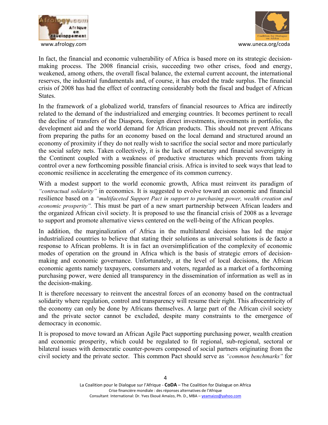



In fact, the financial and economic vulnerability of Africa is based more on its strategic decisionmaking process. The 2008 financial crisis, succeeding two other crises, food and energy, weakened, among others, the overall fiscal balance, the external current account, the international reserves, the industrial fundamentals and, of course, it has eroded the trade surplus. The financial crisis of 2008 has had the effect of contracting considerably both the fiscal and budget of African States.

In the framework of a globalized world, transfers of financial resources to Africa are indirectly related to the demand of the industrialized and emerging countries. It becomes pertinent to recall the decline of transfers of the Diaspora, foreign direct investments, investments in portfolio, the development aid and the world demand for African products. This should not prevent Africans from preparing the paths for an economy based on the local demand and structured around an economy of proximity if they do not really wish to sacrifice the social sector and more particularly the social safety nets. Taken collectively, it is the lack of monetary and financial sovereignty in the Continent coupled with a weakness of productive structures which prevents from taking control over a new forthcoming possible financial crisis. Africa is invited to seek ways that lead to economic resilience in accelerating the emergence of its common currency.

With a modest support to the world economic growth, Africa must reinvent its paradigm of *"contractual solidarity"* in economics. It is suggested to evolve toward an economic and financial resilience based on a *"multifaceted Support Pact in support to purchasing power, wealth creation and economic prosperity".* This must be part of a new smart partnership between African leaders and the organized African civil society. It is proposed to use the financial crisis of 2008 as a leverage to support and promote alternative views centered on the well-being of the African peoples.

In addition, the marginalization of Africa in the multilateral decisions has led the major industrialized countries to believe that stating their solutions as universal solutions is de facto a response to African problems. It is in fact an oversimplification of the complexity of economic modes of operation on the ground in Africa which is the basis of strategic errors of decisionmaking and economic governance. Unfortunately, at the level of local decisions, the African economic agents namely taxpayers, consumers and voters, regarded as a market of a forthcoming purchasing power, were denied all transparency in the dissemination of information as well as in the decision-making.

It is therefore necessary to reinvent the ancestral forces of an economy based on the contractual solidarity where regulation, control and transparency will resume their right. This afrocentricity of the economy can only be done by Africans themselves. A large part of the African civil society and the private sector cannot be excluded, despite many constraints to the emergence of democracy in economic.

It is proposed to move toward an African Agile Pact supporting purchasing power, wealth creation and economic prosperity, which could be regulated to fit regional, sub-regional, sectoral or bilateral issues with democratic counter-powers composed of social partners originating from the civil society and the private sector. This common Pact should serve as *"common benchmarks"* for